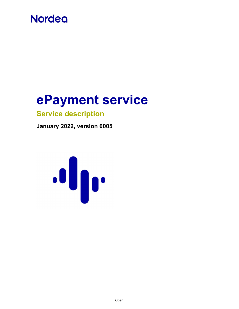# **Nordea**

# ePayment service

# Service description

January 2022, version 0005

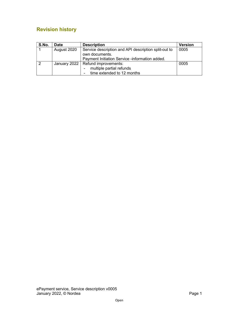# Revision history

| S.No. | <b>Date</b> | <b>Description</b>                                   | <b>Version</b> |
|-------|-------------|------------------------------------------------------|----------------|
|       | August 2020 | Service description and API description split-out to | 0005           |
|       |             | own documents.                                       |                |
|       |             | Payment Initiation Service -information added.       |                |
| 2     |             | January 2022   Refund improvements:                  | 0005           |
|       |             | multiple partial refunds                             |                |
|       |             | time extended to 12 months                           |                |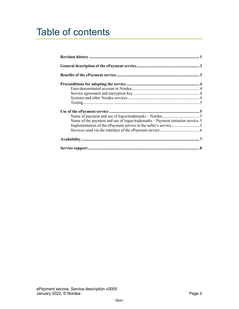# Table of contents

| Name of the payment and use of logos/trademarks – Payment initiation service. 5 |  |
|---------------------------------------------------------------------------------|--|
|                                                                                 |  |
|                                                                                 |  |
|                                                                                 |  |
|                                                                                 |  |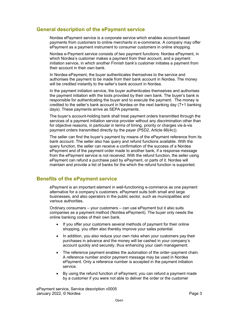# General description of the ePayment service

 Nordea ePayment service is a corporate service which enables account-based payments from customers to online merchants in e-commerce. A company may offer ePayment as a payment instrument to consumer customers in online shopping.

 Nordea e-Payment service consists of two payment functions: Nordea ePayment, in which Nordea's customer makes a payment from their account, and a payment initiation service, in which another Finnish bank's customer initiates a payment from their account in their own bank.

 In Nordea ePayment, the buyer authenticates themselves to the service and authorises the payment to be made from their bank account in Nordea. The money will be credited instantly to the seller's bank account in Nordea.

 In the payment initiation service, the buyer authenticates themselves and authorises the payment initiation with the tools provided by their own bank. The buyer's bank is responsible for authenticating the buyer and to execute the payment. The money is credited to the seller's bank account in Nordea on the next banking day (T+1 banking days). These payments arrive as SEPA payments.

 The buyer's account-holding bank shall treat payment orders transmitted through the services of a payment initiation service provider without any discrimination other than for objective reasons, in particular in terms of timing, priority or charges vis-à-vis payment orders transmitted directly by the payer (PSD2, Article 66(4c)).

 The seller can find the buyer's payment by means of the ePayment reference from its bank account. The seller also has query and refund functions available. With the query function, the seller can receive a confirmation of the success of a Nordea ePayment and of the payment order made to another bank, if a response message from the ePayment service is not received. With the refund function, the seller using maintain and provide a list of banks for the which the refund function is supported. ePayment can refund a purchase paid by ePayment, or parts of it. Nordea will

# Benefits of the ePayment service

 ePayment is an important element in well-functioning e-commerce as one payment alternative for a company's customers. ePayment suits both small and large businesses, and also operators in the public sector, such as municipalities and various authorities.

 Ordinary consumers – your customers – can use ePayment but it also suits companies as a payment method (Nordea ePayment). The buyer only needs the online banking codes of their own bank.

- shopping, you often also thereby improve your sales potential. If you offer your customers several methods of payment for their online
- $\bullet$  purchases in advance and the money will be cashed in your company's account quickly and securely, thus enhancing your cash management. In addition, you also reduce your own risks when your customers pay their
- $\bullet$  A reference number and/or payment message may be used in Nordea ePayment. Only a reference number is accepted in the payment initiation The reference payment enables the automation of the order–payment chain. service.
- $\bullet$  by a customer if you were not able to deliver the order or the customer By using the refund function of ePayment, you can refund a payment made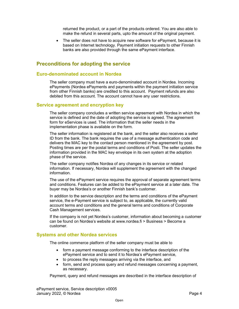returned the product, or a part of the products ordered. You are also able to make the refund in several parts, upto the amount of the original payment.

 $\bullet$  based on Internet technology. Payment initiation requests to other Finnish banks are also provided through the same ePayment interface. The seller does not have to acquire new software for ePayment, because it is

# Preconditions for adopting the service

#### Euro-denominated account in Nordea

 The seller company must have a euro-denominated account in Nordea. Incoming ePayments (Nordea ePayments and payments within the payment initiation service from other Finnish banks) are credited to this account. Payment refunds are also debited from this account. The account cannot have any user restrictions.

#### Service agreement and encryption key

 The seller company concludes a written service agreement with Nordea in which the service is defined and the date of adopting the service is agreed. The agreement form for eServices is used. The information that the seller needs in the implementation phase is available on the form.

 The seller information is registered at the bank, and the seller also receives a seller ID from the bank. The bank requires the use of a message authentication code and delivers the MAC key to the contact person mentioned in the agreement by post. Posting times are per the postal terms and conditions of Posti. The seller updates the information provided in the MAC key envelope in its own system at the adoption phase of the service.

 The seller company notifies Nordea of any changes in its service or related information. If necessary, Nordea will supplement the agreement with the changed information.

 and conditions. Features can be added to the ePayment service at a later date. The buyer may be Nordea's or another Finnish bank's customer. The use of the ePayment service requires the approval of separate agreement terms

 In addition to the service description and the terms and conditions of the ePayment service, the e-Payment service is subject to, as applicable, the currently valid account terms and conditions and the general terms and conditions of Corporate Cash Management services.

 If the company is not yet Nordea's customer, information about becoming a customer can be found on Nordea's website at <www.nordea.fi> > Business > Become a customer.

#### Systems and other Nordea services

The online commerce platform of the seller company must be able to

- form a payment message conforming to the interface description of the ePayment service and to send it to Nordea's ePayment service,
- to process the reply messages arriving via the interface, and
- as necessary. form, send and process query and refund messages concerning a payment,

Payment, query and refund messages are described in the interface description of

 ePayment service, Service description v0005 January 2022, © Nordea Page 4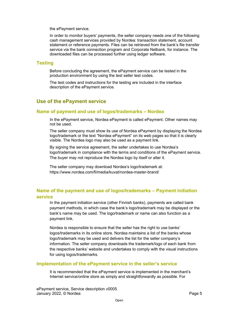the ePayment service.

 In order to monitor buyers' payments, the seller company needs one of the following cash management services provided by Nordea: transaction statement, account statement or reference payments. Files can be retrieved from the bank's file transfer service via the bank connection program and Corporate Netbank, for instance. The downloaded files can be processed further using ledger software.

### Testing

 Before concluding the agreement, the ePayment service can be tested in the production environment by using the test seller test codes.

 The test codes and instructions for the testing are included in the interface description of the ePayment service.

# Use of the ePayment service

## Name of payment and use of logos/trademarks – Nordea

 In the ePayment service, Nordea ePayment is called ePayment. Other names may not be used.

 The seller company must show its use of Nordea ePayment by displaying the Nordea logo/trademark or the text "Nordea ePayment" on its web pages so that it is clearly visible. The Nordea logo may also be used as a payment link.

 By signing the service agreement, the seller undertakes to use Nordea's logo/trademark in compliance with the terms and conditions of the ePayment service. The buyer may not reproduce the Nordea logo by itself or alter it.

 The seller company may download Nordea's logo/trademark at: [https://www.nordea.com/fi/media/kuvat/nordea-master-brand/](https://www.nordea.com/fi/media/kuvat/nordea-master-brand)

# Name of the payment and use of logos/trademarks – Payment initiation service

 In the payment initiation service (other Finnish banks), payments are called bank payment methods, in which case the bank's logo/trademark may be displayed or the bank's name may be used. The logo/trademark or name can also function as a payment link.

 Nordea is responsible to ensure that the seller has the right to use banks' logos/trademarks in its online store. Nordea maintains a list of the banks whose logo/trademark may be used and delivers the list for the seller company's information. The seller company downloads the trademark/logo of each bank from the respective banks' website and undertakes to comply with the visual instructions for using logos/trademarks.

## Implementation of the ePayment service in the seller's service

 It is recommended that the ePayment service is implemented in the merchant's Internet service/online store as simply and straightforwardly as possible. For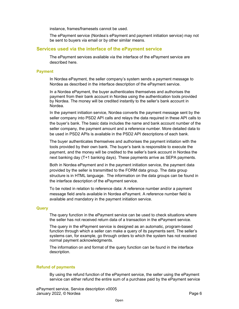instance, frames/framesets cannot be used.

 The ePayment service (Nordea's ePayment and payment initiation service) may not be sent to buyers via email or by other similar means.

#### Services used via the interface of the ePayment service

 The ePayment services available via the interface of the ePayment service are described here.

#### Payment

 In Nordea ePayment, the seller company's system sends a payment message to Nordea as described in the interface description of the ePayment service.

 In a Nordea ePayment, the buyer authenticates themselves and authorises the payment from their bank account in Nordea using the authentication tools provided by Nordea. The money will be credited instantly to the seller's bank account in Nordea.

 In the payment initiation service, Nordea converts the payment message sent by the seller company into PSD2 API calls and relays the data required in these API calls to the buyer's bank. The basic data includes the name and bank account number of the seller company, the payment amount and a reference number. More detailed data to be used in PSD2 APIs is available in the PSD2 API descriptions of each bank.

 The buyer authenticates themselves and authorises the payment initiation with the tools provided by their own bank. The buyer's bank is responsible to execute the payment, and the money will be credited to the seller's bank account in Nordea the next banking day (T+1 banking days). These payments arrive as SEPA payments.

 Both in Nordea ePayment and in the payment initiation service, the payment data provided by the seller is transmitted to the FORM data group. The data group structure is in HTML language. The information on the data groups can be found in the interface description of the ePayment service.

 To be noted in relation to reference data: A reference number and/or a payment message field are/is available in Nordea ePayment. A reference number field is available and mandatory in the payment initiation service.

#### **Query**

 The query function in the ePayment service can be used to check situations where the seller has not received return data of a transaction in the ePayment service.

 The query in the ePayment service is designed as an automatic, program-based function through which a seller can make a query of its payments sent. The seller's systems can, for example, go through orders to which the system has not received normal payment acknowledgments.

 The information on and format of the query function can be found in the interface description.

#### Refund of payments

 By using the refund function of the ePayment service, the seller using the ePayment service can either refund the entire sum of a purchase paid by the ePayment service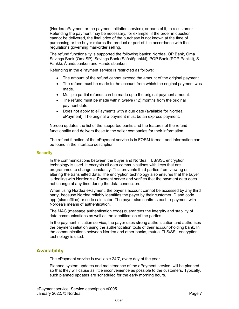(Nordea ePayment or the payment initiation service), or parts of it, to a customer. Refunding the payment may be necessary, for example, if the order in question cannot be delivered, the final price of the purchase is not known at the time of purchasing or the buyer returns the product or part of it in accordance with the regulations governing mail-order selling.

 The refund functionality is supported the following banks: Nordea, OP Bank, Oma Savings Bank (OmaSP), Savings Bank (Säästöpankki), POP Bank (POP-Pankki), S-Pankki, Ålandsbanken and Handelsbanken.

Refunding in the ePayment service is restricted as follows:

- The amount of the refund cannot exceed the amount of the original payment.
- The refund must be made to the account from which the original payment was made.
- $\bullet$ Multiple partial refunds can be made upto the original payment amount.
- $\blacksquare$  payment date. The refund must be made within twelve (12) months from the original
- ePayment). The original e-payment must be an express payment. Does not apply to ePayments with a due date (available for Nordea

 Nordea updates the list of the supported banks and the features of the refund functionality and delivers these to the seller companies for their information.

 The refund function of the ePayment service is in FORM format, and information can be found in the interface description.

#### **Security**

 In the communications between the buyer and Nordea, TLS/SSL encryption technology is used. It encrypts all data communications with keys that are programmed to change constantly. This prevents third parties from viewing or altering the transmitted data. The encryption technology also ensures that the buyer is dealing with Nordea's e-Payment server and verifies that the payment data does not change at any time during the data connection.

 When using Nordea ePayment, the payer's account cannot be accessed by any third party, because Nordea reliably identifies the payer by their customer ID and code app (also offline) or code calculator. The payer also confirms each e-payment with Nordea's means of authentication.

 The MAC (message authentication code) guarantees the integrity and stability of data communications as well as the identification of the parties.

 In the payment initiation service, the payer uses strong authentication and authorises the payment initiation using the authentication tools of their account-holding bank. In the communications between Nordea and other banks, mutual TLS/SSL encryption technology is used.

# Availability

The ePayment service is available 24/7, every day of the year.

 Planned system updates and maintenance of the ePayment service, will be planned so that they will cause as little inconvenience as possible to the customers. Typically, such planned updates are scheduled for the early morning hours.